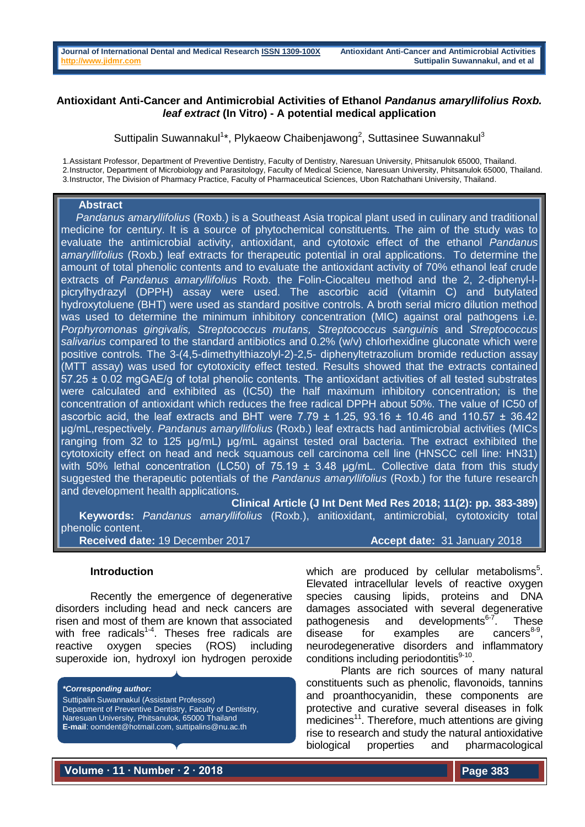# **Antioxidant Anti-Cancer and Antimicrobial Activities of Ethanol** *Pandanus amaryllifolius Roxb. leaf extract* **(In Vitro) - A potential medical application**

Suttipalin Suwannakul<sup>1\*</sup>, Plykaeow Chaibenjawong<sup>2</sup>, Suttasinee Suwannakul<sup>3</sup>

1.Assistant Professor, Department of Preventive Dentistry, Faculty of Dentistry, Naresuan University, Phitsanulok 65000, Thailand. 2.Instructor, Department of Microbiology and Parasitology, Faculty of Medical Science, Naresuan University, Phitsanulok 65000, Thailand. 3.Instructor, The Division of Pharmacy Practice, Faculty of Pharmaceutical Sciences, Ubon Ratchathani University, Thailand.

## **Abstract**

 *Pandanus amaryllifolius* (Roxb.) is a Southeast Asia tropical plant used in culinary and traditional medicine for century. It is a source of phytochemical constituents. The aim of the study was to evaluate the antimicrobial activity, antioxidant, and cytotoxic effect of the ethanol *Pandanus amaryllifolius* (Roxb.) leaf extracts for therapeutic potential in oral applications. To determine the amount of total phenolic contents and to evaluate the antioxidant activity of 70% ethanol leaf crude extracts of *Pandanus amaryllifolius* Roxb. the Folin-Ciocalteu method and the 2, 2-diphenyl-lpicrylhydrazyl (DPPH) assay were used. The ascorbic acid (vitamin C) and butylated hydroxytoluene (BHT) were used as standard positive controls. A broth serial micro dilution method was used to determine the minimum inhibitory concentration (MIC) against oral pathogens i.e. *Porphyromonas gingivalis, Streptococcus mutans, Streptococcus sanguinis* and *Streptococcus salivarius* compared to the standard antibiotics and 0.2% (w/v) chlorhexidine gluconate which were positive controls. The 3-(4,5-dimethylthiazolyl-2)-2,5- diphenyltetrazolium bromide reduction assay (MTT assay) was used for cytotoxicity effect tested. Results showed that the extracts contained 57.25 ± 0.02 mgGAE/g of total phenolic contents. The antioxidant activities of all tested substrates were calculated and exhibited as (IC50) the half maximum inhibitory concentration; is the concentration of antioxidant which reduces the free radical DPPH about 50%. The value of IC50 of ascorbic acid, the leaf extracts and BHT were 7.79  $\pm$  1.25, 93.16  $\pm$  10.46 and 110.57  $\pm$  36.42 μg/mL,respectively. *Pandanus amaryllifolius* (Roxb.) leaf extracts had antimicrobial activities (MICs ranging from 32 to 125 μg/mL) µg/mL against tested oral bacteria. The extract exhibited the cytotoxicity effect on head and neck squamous cell carcinoma cell line (HNSCC cell line: HN31) with 50% lethal concentration (LC50) of 75.19  $\pm$  3.48 µg/mL. Collective data from this study suggested the therapeutic potentials of the *Pandanus amaryllifolius* (Roxb.) for the future research and development health applications.

**Clinical Article (J Int Dent Med Res 2018; 11(2): pp. 383-389)** 

 **Keywords:** *Pandanus amaryllifolius* (Roxb.), anitioxidant, antimicrobial, cytotoxicity total phenolic content.

**Received date:** 19 December 2017 **Accept date:** 31 January 2018

## **Introduction**

Recently the emergence of degenerative disorders including head and neck cancers are risen and most of them are known that associated with free radicals<sup>1-4</sup>. Theses free radicals are reactive oxygen species (ROS) including superoxide ion, hydroxyl ion hydrogen peroxide

*\*Corresponding author:* Suttipalin Suwannakul (Assistant Professor) Department of Preventive Dentistry, Faculty of Dentistry, Naresuan University, Phitsanulok, 65000 Thailand **E-mail**: oomdent@hotmail.com, suttipalins@nu.ac.th

which are produced by cellular metabolisms $<sup>5</sup>$ .</sup> Elevated intracellular levels of reactive oxygen species causing lipids, proteins and DNA damages associated with several degenerative pathogenesis and developments $6-7$ . These disease for examples are cancers $8-9$ , neurodegenerative disorders and inflammatory conditions including periodontitis<sup>9-10</sup>.

Plants are rich sources of many natural constituents such as phenolic, flavonoids, tannins and proanthocyanidin, these components are protective and curative several diseases in folk medicines<sup>11</sup>. Therefore, much attentions are giving rise to research and study the natural antioxidative biological properties and pharmacological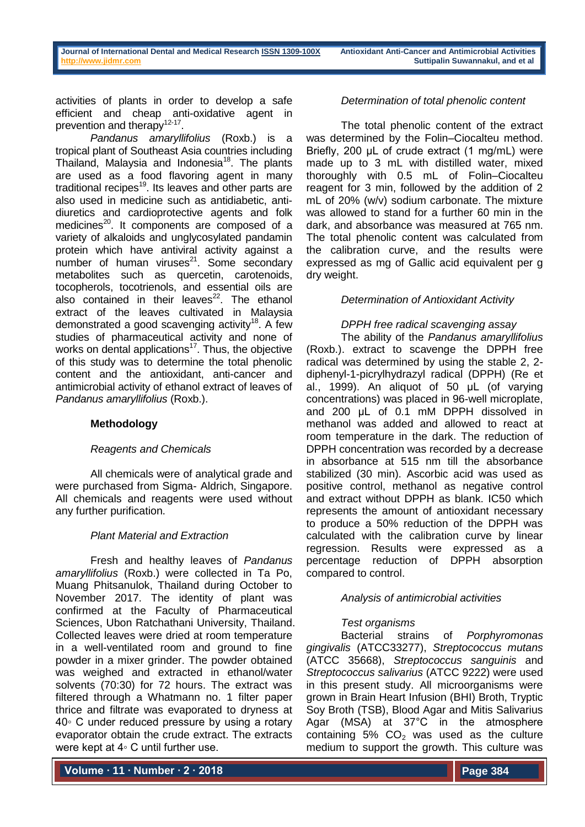activities of plants in order to develop a safe efficient and cheap anti-oxidative agent in prevention and therapy<sup>12-17</sup>.

*Pandanus amaryllifolius* (Roxb.) is a tropical plant of Southeast Asia countries including Thailand, Malaysia and Indonesia<sup>18</sup>. The plants are used as a food flavoring agent in many traditional recipes $19$ . Its leaves and other parts are also used in medicine such as antidiabetic, antidiuretics and cardioprotective agents and folk medicines $^{20}$ . It components are composed of a variety of alkaloids and unglycosylated pandamin protein which have antiviral activity against a number of human viruses $^{21}$ . Some secondary metabolites such as quercetin, carotenoids, tocopherols, tocotrienols, and essential oils are also contained in their leaves $^{22}$ . The ethanol extract of the leaves cultivated in Malaysia demonstrated a good scavenging activity<sup>18</sup>. A few studies of pharmaceutical activity and none of works on dental applications<sup>17</sup>. Thus, the objective of this study was to determine the total phenolic content and the antioxidant, anti-cancer and antimicrobial activity of ethanol extract of leaves of *Pandanus amaryllifolius* (Roxb.).

# **Methodology**

## *Reagents and Chemicals*

All chemicals were of analytical grade and were purchased from Sigma- Aldrich, Singapore. All chemicals and reagents were used without any further purification.

## *Plant Material and Extraction*

Fresh and healthy leaves of *Pandanus amaryllifolius* (Roxb.) were collected in Ta Po, Muang Phitsanulok, Thailand during October to November 2017. The identity of plant was confirmed at the Faculty of Pharmaceutical Sciences, Ubon Ratchathani University, Thailand. Collected leaves were dried at room temperature in a well-ventilated room and ground to fine powder in a mixer grinder. The powder obtained was weighed and extracted in ethanol/water solvents (70:30) for 72 hours. The extract was filtered through a Whatmann no. 1 filter paper thrice and filtrate was evaporated to dryness at 40◦ C under reduced pressure by using a rotary evaporator obtain the crude extract. The extracts were kept at 4∘ C until further use.

**Volume ∙ 11 ∙ Number ∙ 2 ∙ 2018**

## *Determination of total phenolic content*

The total phenolic content of the extract was determined by the Folin–Ciocalteu method. Briefly, 200 μL of crude extract (1 mg/mL) were made up to 3 mL with distilled water, mixed thoroughly with 0.5 mL of Folin–Ciocalteu reagent for 3 min, followed by the addition of 2 mL of 20% (w/v) sodium carbonate. The mixture was allowed to stand for a further 60 min in the dark, and absorbance was measured at 765 nm. The total phenolic content was calculated from the calibration curve, and the results were expressed as mg of Gallic acid equivalent per g dry weight.

## *Determination of Antioxidant Activity*

## *DPPH free radical scavenging assay*

The ability of the *Pandanus amaryllifolius* (Roxb.). extract to scavenge the DPPH free radical was determined by using the stable 2, 2 diphenyl-1-picrylhydrazyl radical (DPPH) (Re et al., 1999). An aliquot of 50 μL (of varying concentrations) was placed in 96-well microplate, and 200 μL of 0.1 mM DPPH dissolved in methanol was added and allowed to react at room temperature in the dark. The reduction of DPPH concentration was recorded by a decrease in absorbance at 515 nm till the absorbance stabilized (30 min). Ascorbic acid was used as positive control, methanol as negative control and extract without DPPH as blank. IC50 which represents the amount of antioxidant necessary to produce a 50% reduction of the DPPH was calculated with the calibration curve by linear regression. Results were expressed as a percentage reduction of DPPH absorption compared to control.

## *Analysis of antimicrobial activities*

# *Test organisms*

Bacterial strains of *Porphyromonas gingivalis* (ATCC33277), *Streptococcus mutans* (ATCC 35668), *Streptococcus sanguinis* and *Streptococcus salivarius* (ATCC 9222) were used in this present study. All microorganisms were grown in Brain Heart Infusion (BHI) Broth, Tryptic Soy Broth (TSB), Blood Agar and Mitis Salivarius Agar (MSA) at 37°C in the atmosphere containing 5%  $CO<sub>2</sub>$  was used as the culture medium to support the growth. This culture was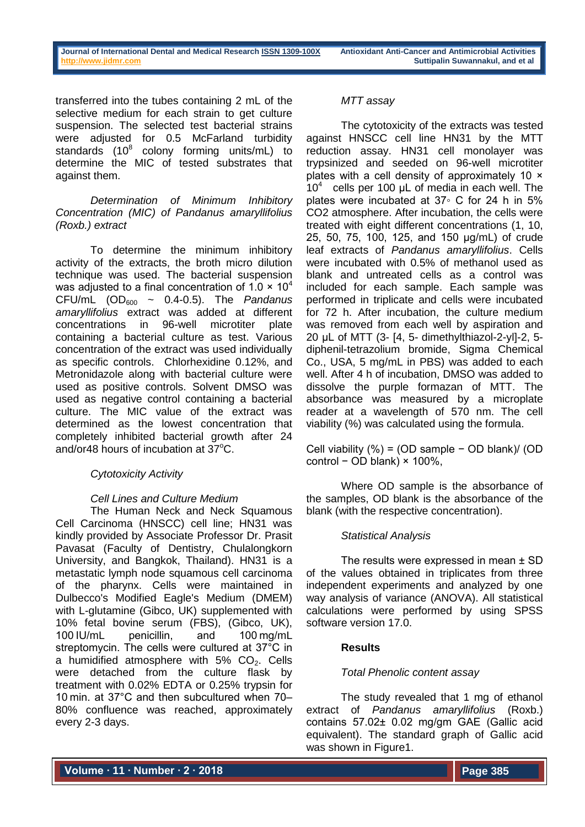transferred into the tubes containing 2 mL of the selective medium for each strain to get culture suspension. The selected test bacterial strains were adjusted for 0.5 McFarland turbidity standards  $(10^8 \text{ colony forming units/mL})$  to determine the MIC of tested substrates that against them.

# *Determination of Minimum Inhibitory Concentration (MIC) of Pandanus amaryllifolius (Roxb.) extract*

To determine the minimum inhibitory activity of the extracts, the broth micro dilution technique was used. The bacterial suspension was adjusted to a final concentration of 1.0  $\times$  10<sup>4</sup> CFU/mL (OD<sub>600</sub> ~ 0.4-0.5). The *Pandanus amaryllifolius* extract was added at different concentrations in 96-well microtiter plate containing a bacterial culture as test. Various concentration of the extract was used individually as specific controls. Chlorhexidine 0.12%, and Metronidazole along with bacterial culture were used as positive controls. Solvent DMSO was used as negative control containing a bacterial culture. The MIC value of the extract was determined as the lowest concentration that completely inhibited bacterial growth after 24 and/or48 hours of incubation at  $37^{\circ}$ C.

# *Cytotoxicity Activity*

# *Cell Lines and Culture Medium*

The Human Neck and Neck Squamous Cell Carcinoma (HNSCC) cell line; HN31 was kindly provided by Associate Professor Dr. Prasit Pavasat (Faculty of Dentistry, Chulalongkorn University, and Bangkok, Thailand). HN31 is a metastatic lymph node squamous cell carcinoma of the pharynx. Cells were maintained in Dulbecco's Modified Eagle's Medium (DMEM) with L-glutamine (Gibco, UK) supplemented with 10% fetal bovine serum (FBS), (Gibco, UK), 100 IU/mL penicillin, and 100 mg/mL streptomycin. The cells were cultured at 37°C in a humidified atmosphere with  $5\%$  CO<sub>2</sub>. Cells were detached from the culture flask by treatment with 0.02% EDTA or 0.25% trypsin for 10 min. at 37°C and then subcultured when 70– 80% confluence was reached, approximately every 2-3 days.

# *MTT assay*

The cytotoxicity of the extracts was tested against HNSCC cell line HN31 by the MTT reduction assay. HN31 cell monolayer was trypsinized and seeded on 96-well microtiter plates with a cell density of approximately 10 × 10<sup>4</sup> cells per 100 μL of media in each well. The plates were incubated at 37◦ C for 24 h in 5% CO2 atmosphere. After incubation, the cells were treated with eight different concentrations (1, 10, 25, 50, 75, 100, 125, and 150 µg/mL) of crude leaf extracts of *Pandanus amaryllifolius*. Cells were incubated with 0.5% of methanol used as blank and untreated cells as a control was included for each sample. Each sample was performed in triplicate and cells were incubated for 72 h. After incubation, the culture medium was removed from each well by aspiration and 20 μL of MTT (3- [4, 5- dimethylthiazol-2-yl]-2, 5 diphenil-tetrazolium bromide, Sigma Chemical Co., USA, 5 mg/mL in PBS) was added to each well. After 4 h of incubation, DMSO was added to dissolve the purple formazan of MTT. The absorbance was measured by a microplate reader at a wavelength of 570 nm. The cell viability (%) was calculated using the formula.

Cell viability (%) = (OD sample − OD blank)/ (OD control − OD blank) × 100%,

Where OD sample is the absorbance of the samples, OD blank is the absorbance of the blank (with the respective concentration).

# *Statistical Analysis*

The results were expressed in mean  $\pm$  SD of the values obtained in triplicates from three independent experiments and analyzed by one way analysis of variance (ANOVA). All statistical calculations were performed by using SPSS software version 17.0.

# **Results**

# *Total Phenolic content assay*

The study revealed that 1 mg of ethanol extract of *Pandanus amaryllifolius* (Roxb.) contains 57.02± 0.02 mg/gm GAE (Gallic acid equivalent). The standard graph of Gallic acid was shown in Figure1.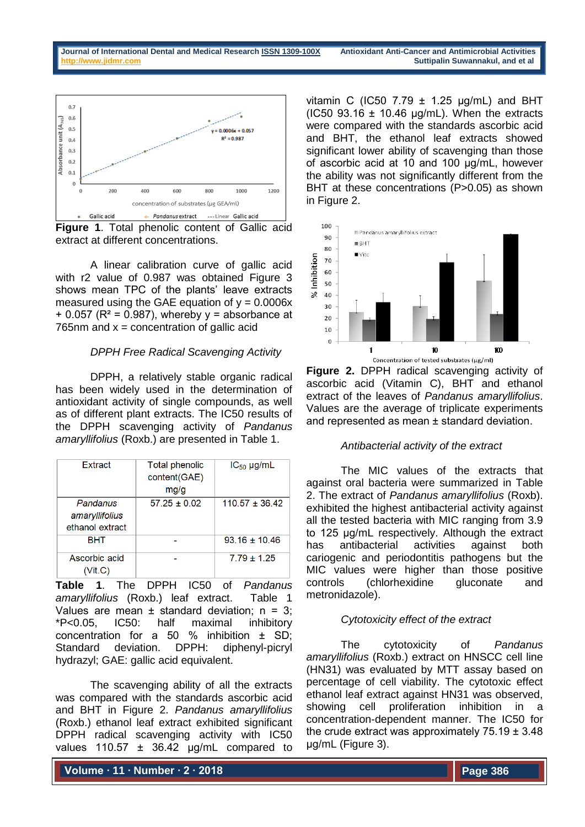

**Figure 1**. Total phenolic content of Gallic acid extract at different concentrations.

A linear calibration curve of gallic acid with r2 value of 0.987 was obtained Figure 3 shows mean TPC of the plants' leave extracts measured using the GAE equation of  $y = 0.0006x$  $+$  0.057 ( $R^2$  = 0.987), whereby y = absorbance at 765nm and  $x =$  concentration of gallic acid

## *DPPH Free Radical Scavenging Activity*

DPPH, a relatively stable organic radical has been widely used in the determination of antioxidant activity of single compounds, as well as of different plant extracts. The IC50 results of the DPPH scavenging activity of *Pandanus amaryllifolius* (Roxb.) are presented in Table 1.

| Extract                                       | <b>Total phenolic</b><br>content(GAE)<br>mg/g | $IC_{50}$ µg/mL    |
|-----------------------------------------------|-----------------------------------------------|--------------------|
| Pandanus<br>amaryllifolius<br>ethanol extract | $57.25 \pm 0.02$                              | $110.57 \pm 36.42$ |
| BHT                                           |                                               | $93.16 \pm 10.46$  |
| Ascorbic acid<br>(Vit.C)                      |                                               | $7.79 + 1.25$      |

**Table 1**. The DPPH IC50 of *Pandanus amaryllifolius* (Roxb.) leaf extract. Table 1 Values are mean  $\pm$  standard deviation;  $n = 3$ ; \*P<0.05, IC50: half maximal inhibitory concentration for a 50 % inhibition ± SD; Standard deviation. DPPH: diphenyl-picryl hydrazyl; GAE: gallic acid equivalent.

The scavenging ability of all the extracts was compared with the standards ascorbic acid and BHT in Figure 2. *Pandanus amaryllifolius* (Roxb.) ethanol leaf extract exhibited significant DPPH radical scavenging activity with IC50 values 110.57 ± 36.42 µg/mL compared to

vitamin C (IC50 7.79  $\pm$  1.25 µg/mL) and BHT (IC50 93.16  $\pm$  10.46 µg/mL). When the extracts were compared with the standards ascorbic acid and BHT, the ethanol leaf extracts showed significant lower ability of scavenging than those of ascorbic acid at 10 and 100 µg/mL, however the ability was not significantly different from the BHT at these concentrations (P>0.05) as shown in Figure 2.



**Figure 2.** DPPH radical scavenging activity of ascorbic acid (Vitamin C), BHT and ethanol extract of the leaves of *Pandanus amaryllifolius*. Values are the average of triplicate experiments and represented as mean ± standard deviation.

## *Antibacterial activity of the extract*

The MIC values of the extracts that against oral bacteria were summarized in Table 2. The extract of *Pandanus amaryllifolius* (Roxb). exhibited the highest antibacterial activity against all the tested bacteria with MIC ranging from 3.9 to 125 µg/mL respectively. Although the extract has antibacterial activities against both cariogenic and periodontitis pathogens but the MIC values were higher than those positive controls (chlorhexidine gluconate and metronidazole).

## *Cytotoxicity effect of the extract*

The cytotoxicity of *Pandanus amaryllifolius* (Roxb.) extract on HNSCC cell line (HN31) was evaluated by MTT assay based on percentage of cell viability. The cytotoxic effect ethanol leaf extract against HN31 was observed, showing cell proliferation inhibition in a concentration-dependent manner. The IC50 for the crude extract was approximately  $75.19 \pm 3.48$ µg/mL (Figure 3).

**Volume ∙ 11 ∙ Number ∙ 2 ∙ 2018**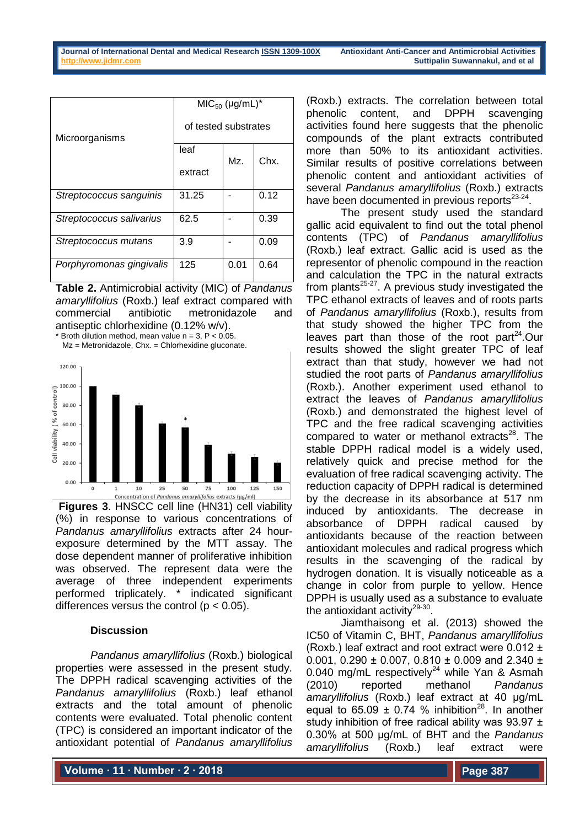|                          | $MIC50 (µg/mL)*$     |      |      |
|--------------------------|----------------------|------|------|
| Microorganisms           | of tested substrates |      |      |
|                          | leaf                 | Mz.  | Chx. |
|                          | extract              |      |      |
| Streptococcus sanguinis  | 31.25                |      | 0.12 |
| Streptococcus salivarius | 62.5                 |      | 0.39 |
| Streptococcus mutans     | 3.9                  |      | 0.09 |
| Porphyromonas gingivalis | 125                  | 0.01 | 0.64 |

**Table 2.** Antimicrobial activity (MIC) of *Pandanus amaryllifolius* (Roxb.) leaf extract compared with commercial antibiotic metronidazole and antiseptic chlorhexidine (0.12% w/v).

Broth dilution method, mean value n = 3, P <  $0.05$ . Mz = Metronidazole, Chx. = Chlorhexidine gluconate.



**Figures 3**. HNSCC cell line (HN31) cell viability (%) in response to various concentrations of *Pandanus amaryllifolius* extracts after 24 hourexposure determined by the MTT assay. The dose dependent manner of proliferative inhibition was observed. The represent data were the average of three independent experiments performed triplicately. \* indicated significant differences versus the control ( $p < 0.05$ ).

# **Discussion**

*Pandanus amaryllifolius* (Roxb.) biological properties were assessed in the present study. The DPPH radical scavenging activities of the *Pandanus amaryllifolius* (Roxb.) leaf ethanol extracts and the total amount of phenolic contents were evaluated. Total phenolic content (TPC) is considered an important indicator of the antioxidant potential of *Pandanus amaryllifolius*

(Roxb.) extracts. The correlation between total phenolic content, and DPPH scavenging activities found here suggests that the phenolic compounds of the plant extracts contributed more than 50% to its antioxidant activities. Similar results of positive correlations between phenolic content and antioxidant activities of several *Pandanus amaryllifolius* (Roxb.) extracts have been documented in previous reports<sup>23-24</sup>.

The present study used the standard gallic acid equivalent to find out the total phenol contents (TPC) of *Pandanus amaryllifolius* (Roxb.) leaf extract. Gallic acid is used as the representor of phenolic compound in the reaction and calculation the TPC in the natural extracts from plants<sup>25-27</sup>. A previous study investigated the TPC ethanol extracts of leaves and of roots parts of *Pandanus amaryllifolius* (Roxb.), results from that study showed the higher TPC from the leaves part than those of the root part $24$ . Our results showed the slight greater TPC of leaf extract than that study, however we had not studied the root parts of *Pandanus amaryllifolius* (Roxb.). Another experiment used ethanol to extract the leaves of *Pandanus amaryllifolius* (Roxb.) and demonstrated the highest level of TPC and the free radical scavenging activities compared to water or methanol extracts $28$ . The stable DPPH radical model is a widely used, relatively quick and precise method for the evaluation of free radical scavenging activity. The reduction capacity of DPPH radical is determined by the decrease in its absorbance at 517 nm induced by antioxidants. The decrease in absorbance of DPPH radical caused by antioxidants because of the reaction between antioxidant molecules and radical progress which results in the scavenging of the radical by hydrogen donation. It is visually noticeable as a change in color from purple to yellow. Hence DPPH is usually used as a substance to evaluate the antioxidant activity $29-30$ .

Jiamthaisong et al. (2013) showed the IC50 of Vitamin C, BHT, *Pandanus amaryllifolius* (Roxb.) leaf extract and root extract were  $0.012 \pm 1$ 0.001, 0.290  $\pm$  0.007, 0.810  $\pm$  0.009 and 2.340  $\pm$ 0.040 mg/mL respectively<sup>24</sup> while Yan & Asmah (2010) reported methanol *Pandanus amaryllifolius* (Roxb.) leaf extract at 40 µg/mL equal to  $65.09 \pm 0.74$  % inhibition<sup>28</sup>. In another study inhibition of free radical ability was  $93.97 \pm$ 0.30% at 500 µg/mL of BHT and the *Pandanus amaryllifolius* (Roxb.) leaf extract were

**Volume ∙ 11 ∙ Number ∙ 2 ∙ 2018**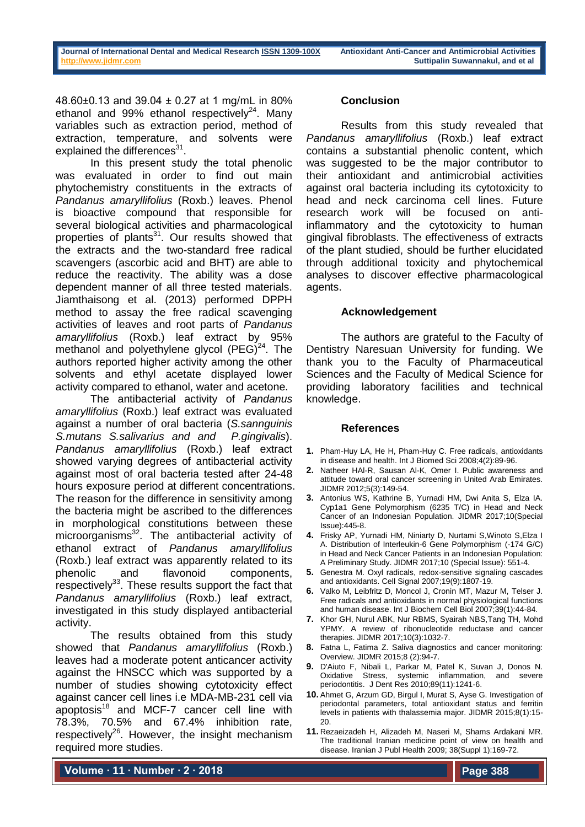48.60±0.13 and 39.04 ± 0.27 at 1 mg/mL in 80% ethanol and 99% ethanol respectively<sup>24</sup>. Many variables such as extraction period, method of extraction, temperature, and solvents were explained the differences<sup>31</sup>.

In this present study the total phenolic was evaluated in order to find out main phytochemistry constituents in the extracts of *Pandanus amaryllifolius* (Roxb.) leaves. Phenol is bioactive compound that responsible for several biological activities and pharmacological properties of plants<sup>31</sup>. Our results showed that the extracts and the two-standard free radical scavengers (ascorbic acid and BHT) are able to reduce the reactivity. The ability was a dose dependent manner of all three tested materials. Jiamthaisong et al. (2013) performed DPPH method to assay the free radical scavenging activities of leaves and root parts of *Pandanus amaryllifolius* (Roxb.) leaf extract by 95% methanol and polyethylene glycol  $(PEG)^{24}$ . The authors reported higher activity among the other solvents and ethyl acetate displayed lower activity compared to ethanol, water and acetone.

The antibacterial activity of *Pandanus amaryllifolius* (Roxb.) leaf extract was evaluated against a number of oral bacteria (*S.sannguinis S.mutans S.salivarius and and P.gingivalis*). *Pandanus amaryllifolius* (Roxb.) leaf extract showed varying degrees of antibacterial activity against most of oral bacteria tested after 24-48 hours exposure period at different concentrations. The reason for the difference in sensitivity among the bacteria might be ascribed to the differences in morphological constitutions between these microorganisms<sup>32</sup>. The antibacterial activity of ethanol extract of *Pandanus amaryllifolius* (Roxb.) leaf extract was apparently related to its phenolic and flavonoid components, respectively<sup>33</sup>. These results support the fact that *Pandanus amaryllifolius* (Roxb.) leaf extract, investigated in this study displayed antibacterial activity.

The results obtained from this study showed that *Pandanus amaryllifolius* (Roxb.) leaves had a moderate potent anticancer activity against the HNSCC which was supported by a number of studies showing cytotoxicity effect against cancer cell lines i.e MDA-MB-231 cell via apoptosis $18$  and MCF-7 cancer cell line with 78.3%, 70.5% and 67.4% inhibition rate, respectively<sup>26</sup>. However, the insight mechanism required more studies.

## **Conclusion**

Results from this study revealed that *Pandanus amaryllifolius* (Roxb.) leaf extract contains a substantial phenolic content, which was suggested to be the major contributor to their antioxidant and antimicrobial activities against oral bacteria including its cytotoxicity to head and neck carcinoma cell lines. Future research work will be focused on antiinflammatory and the cytotoxicity to human gingival fibroblasts. The effectiveness of extracts of the plant studied, should be further elucidated through additional toxicity and phytochemical analyses to discover effective pharmacological agents.

## **Acknowledgement**

The authors are grateful to the Faculty of Dentistry Naresuan University for funding. We thank you to the Faculty of Pharmaceutical Sciences and the Faculty of Medical Science for providing laboratory facilities and technical knowledge.

## **References**

- **1.** Pham-Huy LA, He H, Pham-Huy C. Free radicals, antioxidants in disease and health. Int J Biomed Sci 2008;4(2):89-96.
- **2.** Natheer HAl-R, Sausan Al-K, Omer I. Public awareness and attitude toward oral cancer screening in United Arab Emirates. JIDMR 2012;5(3):149-54.
- **3.** Antonius WS, Kathrine B, Yurnadi HM, Dwi Anita S, Elza IA. Cyp1a1 Gene Polymorphism (6235 T/C) in Head and Neck Cancer of an Indonesian Population. JIDMR 2017;10(Special Issue):445-8.
- **4.** Frisky AP, Yurnadi HM, Niniarty D, Nurtami S,Winoto S,Elza I A. Distribution of Interleukin-6 Gene Polymorphism (-174 G/C) in Head and Neck Cancer Patients in an Indonesian Population: A Preliminary Study. JIDMR 2017;10 (Special Issue): 551-4.
- **5.** Genestra M. Oxyl radicals, redox-sensitive signaling cascades and antioxidants. Cell Signal 2007;19(9):1807-19.
- **6.** Valko M, Leibfritz D, Moncol J, Cronin MT, Mazur M, Telser J. Free radicals and antioxidants in normal physiological functions and human disease. Int J Biochem Cell Biol 2007;39(1):44-84.
- **7.** Khor GH, Nurul ABK, Nur RBMS, Syairah NBS,Tang TH, Mohd YPMY. A review of ribonucleotide reductase and cancer therapies. JIDMR 2017;10(3):1032-7.
- **8.** Fatna L, Fatima Z. Saliva diagnostics and cancer monitoring: Overview. JIDMR 2015;8 (2):94-7.
- **9.** D'Aiuto F, Nibali L, Parkar M, Patel K, Suvan J, Donos N. Oxidative Stress, systemic inflammation, and severe periodontitis. J Dent Res 2010;89(11):1241-6.
- **10.** Ahmet G, Arzum GD, Birgul I, Murat S, Ayse G. Investigation of periodontal parameters, total antioxidant status and ferritin levels in patients with thalassemia major. JIDMR 2015;8(1):15- 20.
- **11.** Rezaeizadeh H, Alizadeh M, Naseri M, Shams Ardakani MR. The traditional Iranian medicine point of view on health and disease. Iranian J Publ Health 2009; 38(Suppl 1):169-72.

**Volume ∙ 11 ∙ Number ∙ 2 ∙ 2018**